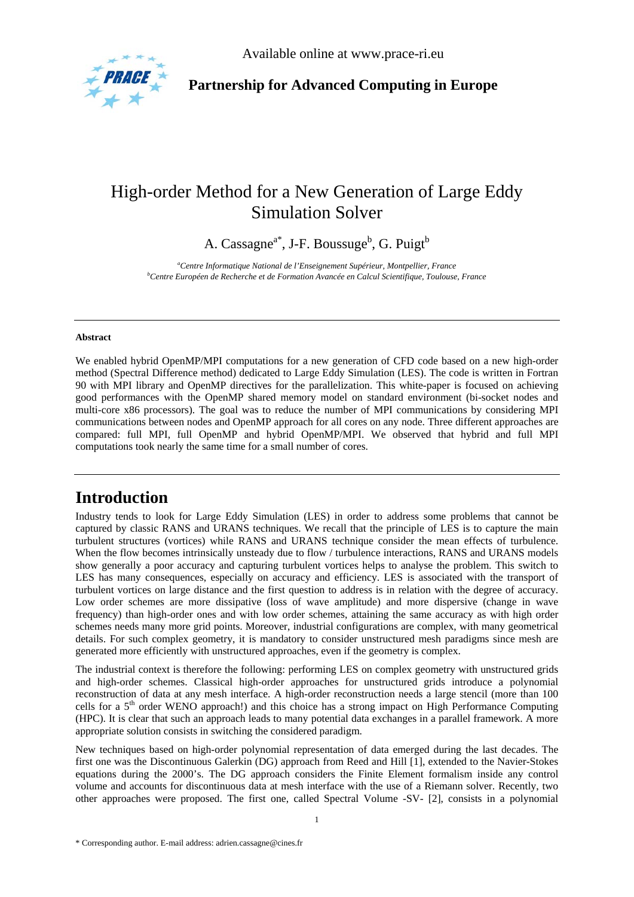

Available online at www.prace-ri.eu

**Partnership for Advanced Computing in Europe** 

# High-order Method for a New Generation of Large Eddy Simulation Solver

A. Cassagne<sup>a\*</sup>, J-F. Boussuge<sup>b</sup>, G. Puigt<sup>b</sup>

*a Centre Informatique National de l'Enseignement Supérieur, Montpellier, France b Centre Européen de Recherche et de Formation Avancée en Calcul Scientifique, Toulouse, France* 

#### **Abstract**

We enabled hybrid OpenMP/MPI computations for a new generation of CFD code based on a new high-order method (Spectral Difference method) dedicated to Large Eddy Simulation (LES). The code is written in Fortran 90 with MPI library and OpenMP directives for the parallelization. This white-paper is focused on achieving good performances with the OpenMP shared memory model on standard environment (bi-socket nodes and multi-core x86 processors). The goal was to reduce the number of MPI communications by considering MPI communications between nodes and OpenMP approach for all cores on any node. Three different approaches are compared: full MPI, full OpenMP and hybrid OpenMP/MPI. We observed that hybrid and full MPI computations took nearly the same time for a small number of cores.

## **Introduction**

Industry tends to look for Large Eddy Simulation (LES) in order to address some problems that cannot be captured by classic RANS and URANS techniques. We recall that the principle of LES is to capture the main turbulent structures (vortices) while RANS and URANS technique consider the mean effects of turbulence. When the flow becomes intrinsically unsteady due to flow / turbulence interactions, RANS and URANS models show generally a poor accuracy and capturing turbulent vortices helps to analyse the problem. This switch to LES has many consequences, especially on accuracy and efficiency. LES is associated with the transport of turbulent vortices on large distance and the first question to address is in relation with the degree of accuracy. Low order schemes are more dissipative (loss of wave amplitude) and more dispersive (change in wave frequency) than high-order ones and with low order schemes, attaining the same accuracy as with high order schemes needs many more grid points. Moreover, industrial configurations are complex, with many geometrical details. For such complex geometry, it is mandatory to consider unstructured mesh paradigms since mesh are generated more efficiently with unstructured approaches, even if the geometry is complex.

The industrial context is therefore the following: performing LES on complex geometry with unstructured grids and high-order schemes. Classical high-order approaches for unstructured grids introduce a polynomial reconstruction of data at any mesh interface. A high-order reconstruction needs a large stencil (more than 100 cells for a 5<sup>th</sup> order WENO approach!) and this choice has a strong impact on High Performance Computing (HPC). It is clear that such an approach leads to many potential data exchanges in a parallel framework. A more appropriate solution consists in switching the considered paradigm.

New techniques based on high-order polynomial representation of data emerged during the last decades. The first one was the Discontinuous Galerkin (DG) approach from Reed and Hill [1], extended to the Navier-Stokes equations during the 2000's. The DG approach considers the Finite Element formalism inside any control volume and accounts for discontinuous data at mesh interface with the use of a Riemann solver. Recently, two other approaches were proposed. The first one, called Spectral Volume -SV- [2], consists in a polynomial

<sup>\*</sup> Corresponding author. E-mail address: adrien.cassagne@cines.fr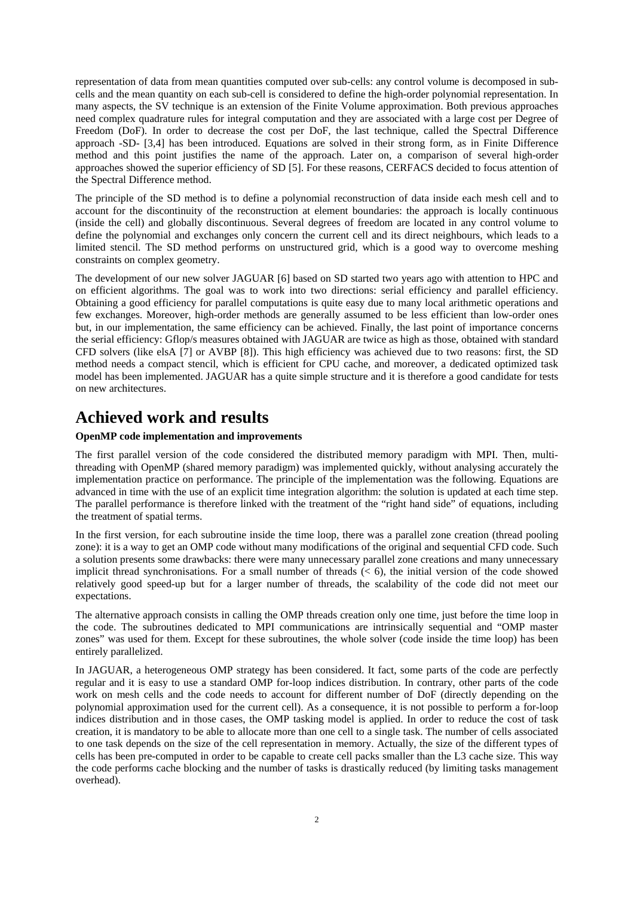representation of data from mean quantities computed over sub-cells: any control volume is decomposed in subcells and the mean quantity on each sub-cell is considered to define the high-order polynomial representation. In many aspects, the SV technique is an extension of the Finite Volume approximation. Both previous approaches need complex quadrature rules for integral computation and they are associated with a large cost per Degree of Freedom (DoF). In order to decrease the cost per DoF, the last technique, called the Spectral Difference approach -SD- [3,4] has been introduced. Equations are solved in their strong form, as in Finite Difference method and this point justifies the name of the approach. Later on, a comparison of several high-order approaches showed the superior efficiency of SD [5]. For these reasons, CERFACS decided to focus attention of the Spectral Difference method.

The principle of the SD method is to define a polynomial reconstruction of data inside each mesh cell and to account for the discontinuity of the reconstruction at element boundaries: the approach is locally continuous (inside the cell) and globally discontinuous. Several degrees of freedom are located in any control volume to define the polynomial and exchanges only concern the current cell and its direct neighbours, which leads to a limited stencil. The SD method performs on unstructured grid, which is a good way to overcome meshing constraints on complex geometry.

The development of our new solver JAGUAR [6] based on SD started two years ago with attention to HPC and on efficient algorithms. The goal was to work into two directions: serial efficiency and parallel efficiency. Obtaining a good efficiency for parallel computations is quite easy due to many local arithmetic operations and few exchanges. Moreover, high-order methods are generally assumed to be less efficient than low-order ones but, in our implementation, the same efficiency can be achieved. Finally, the last point of importance concerns the serial efficiency: Gflop/s measures obtained with JAGUAR are twice as high as those, obtained with standard CFD solvers (like elsA [7] or AVBP [8]). This high efficiency was achieved due to two reasons: first, the SD method needs a compact stencil, which is efficient for CPU cache, and moreover, a dedicated optimized task model has been implemented. JAGUAR has a quite simple structure and it is therefore a good candidate for tests on new architectures.

## **Achieved work and results**

#### **OpenMP code implementation and improvements**

The first parallel version of the code considered the distributed memory paradigm with MPI. Then, multithreading with OpenMP (shared memory paradigm) was implemented quickly, without analysing accurately the implementation practice on performance. The principle of the implementation was the following. Equations are advanced in time with the use of an explicit time integration algorithm: the solution is updated at each time step. The parallel performance is therefore linked with the treatment of the "right hand side" of equations, including the treatment of spatial terms.

In the first version, for each subroutine inside the time loop, there was a parallel zone creation (thread pooling zone): it is a way to get an OMP code without many modifications of the original and sequential CFD code. Such a solution presents some drawbacks: there were many unnecessary parallel zone creations and many unnecessary implicit thread synchronisations. For a small number of threads  $($   $<$  6), the initial version of the code showed relatively good speed-up but for a larger number of threads, the scalability of the code did not meet our expectations.

The alternative approach consists in calling the OMP threads creation only one time, just before the time loop in the code. The subroutines dedicated to MPI communications are intrinsically sequential and "OMP master zones" was used for them. Except for these subroutines, the whole solver (code inside the time loop) has been entirely parallelized.

In JAGUAR, a heterogeneous OMP strategy has been considered. It fact, some parts of the code are perfectly regular and it is easy to use a standard OMP for-loop indices distribution. In contrary, other parts of the code work on mesh cells and the code needs to account for different number of DoF (directly depending on the polynomial approximation used for the current cell). As a consequence, it is not possible to perform a for-loop indices distribution and in those cases, the OMP tasking model is applied. In order to reduce the cost of task creation, it is mandatory to be able to allocate more than one cell to a single task. The number of cells associated to one task depends on the size of the cell representation in memory. Actually, the size of the different types of cells has been pre-computed in order to be capable to create cell packs smaller than the L3 cache size. This way the code performs cache blocking and the number of tasks is drastically reduced (by limiting tasks management overhead).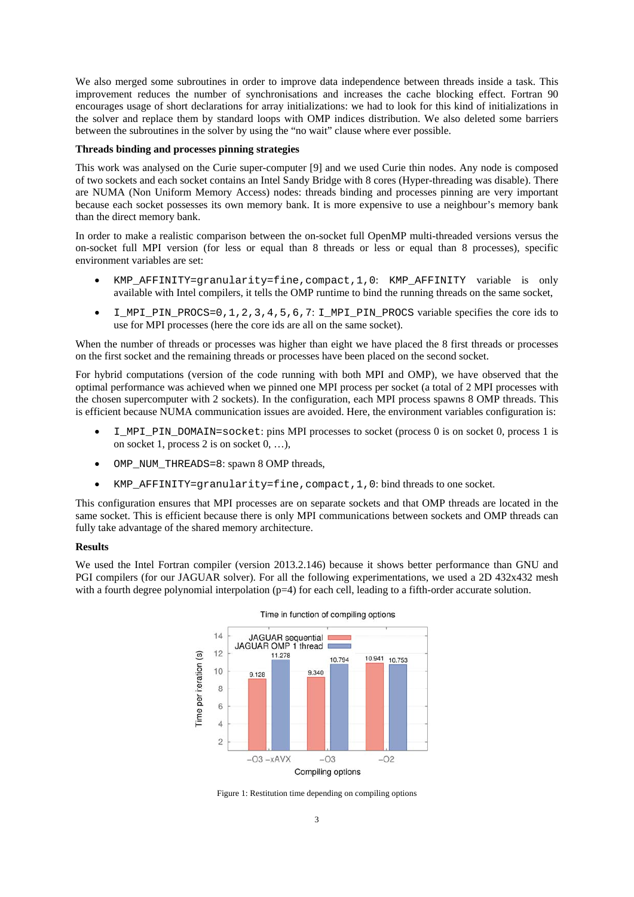We also merged some subroutines in order to improve data independence between threads inside a task. This improvement reduces the number of synchronisations and increases the cache blocking effect. Fortran 90 encourages usage of short declarations for array initializations: we had to look for this kind of initializations in the solver and replace them by standard loops with OMP indices distribution. We also deleted some barriers between the subroutines in the solver by using the "no wait" clause where ever possible.

#### **Threads binding and processes pinning strategies**

This work was analysed on the Curie super-computer [9] and we used Curie thin nodes. Any node is composed of two sockets and each socket contains an Intel Sandy Bridge with 8 cores (Hyper-threading was disable). There are NUMA (Non Uniform Memory Access) nodes: threads binding and processes pinning are very important because each socket possesses its own memory bank. It is more expensive to use a neighbour's memory bank than the direct memory bank.

In order to make a realistic comparison between the on-socket full OpenMP multi-threaded versions versus the on-socket full MPI version (for less or equal than 8 threads or less or equal than 8 processes), specific environment variables are set:

- KMP\_AFFINITY=granularity=fine,compact,1,0: KMP\_AFFINITY variable is only available with Intel compilers, it tells the OMP runtime to bind the running threads on the same socket,
- $\bullet$  I\_MPI\_PIN\_PROCS=0, 1, 2, 3, 4, 5, 6, 7: I\_MPI\_PIN\_PROCS variable specifies the core ids to use for MPI processes (here the core ids are all on the same socket).

When the number of threads or processes was higher than eight we have placed the 8 first threads or processes on the first socket and the remaining threads or processes have been placed on the second socket.

For hybrid computations (version of the code running with both MPI and OMP), we have observed that the optimal performance was achieved when we pinned one MPI process per socket (a total of 2 MPI processes with the chosen supercomputer with 2 sockets). In the configuration, each MPI process spawns 8 OMP threads. This is efficient because NUMA communication issues are avoided. Here, the environment variables configuration is:

- I\_MPI\_PIN\_DOMAIN=socket: pins MPI processes to socket (process 0 is on socket 0, process 1 is on socket 1, process 2 is on socket 0, …),
- OMP NUM THREADS=8: spawn 8 OMP threads,
- KMP\_AFFINITY=granularity=fine,compact,1,0: bind threads to one socket.

This configuration ensures that MPI processes are on separate sockets and that OMP threads are located in the same socket. This is efficient because there is only MPI communications between sockets and OMP threads can fully take advantage of the shared memory architecture.

#### **Results**

We used the Intel Fortran compiler (version 2013.2.146) because it shows better performance than GNU and PGI compilers (for our JAGUAR solver). For all the following experimentations, we used a 2D 432x432 mesh with a fourth degree polynomial interpolation ( $p=4$ ) for each cell, leading to a fifth-order accurate solution.





Figure 1: Restitution time depending on compiling options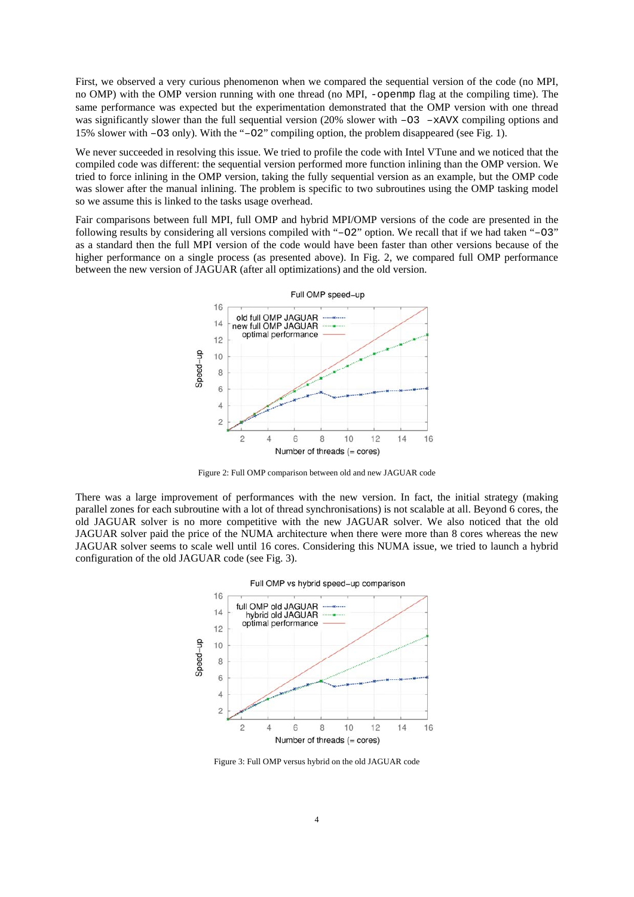First, we observed a very curious phenomenon when we compared the sequential version of the code (no MPI, no OMP) with the OMP version running with one thread (no MPI, -openmp flag at the compiling time). The same performance was expected but the experimentation demonstrated that the OMP version with one thread was significantly slower than the full sequential version (20% slower with  $-03 -x$ AVX compiling options and 15% slower with –O3 only). With the "–O2" compiling option, the problem disappeared (see Fig. 1).

We never succeeded in resolving this issue. We tried to profile the code with Intel VTune and we noticed that the compiled code was different: the sequential version performed more function inlining than the OMP version. We tried to force inlining in the OMP version, taking the fully sequential version as an example, but the OMP code was slower after the manual inlining. The problem is specific to two subroutines using the OMP tasking model so we assume this is linked to the tasks usage overhead.

Fair comparisons between full MPI, full OMP and hybrid MPI/OMP versions of the code are presented in the following results by considering all versions compiled with "–O2" option. We recall that if we had taken "–O3" as a standard then the full MPI version of the code would have been faster than other versions because of the higher performance on a single process (as presented above). In Fig. 2, we compared full OMP performance between the new version of JAGUAR (after all optimizations) and the old version.



Figure 2: Full OMP comparison between old and new JAGUAR code

There was a large improvement of performances with the new version. In fact, the initial strategy (making parallel zones for each subroutine with a lot of thread synchronisations) is not scalable at all. Beyond 6 cores, the old JAGUAR solver is no more competitive with the new JAGUAR solver. We also noticed that the old JAGUAR solver paid the price of the NUMA architecture when there were more than 8 cores whereas the new JAGUAR solver seems to scale well until 16 cores. Considering this NUMA issue, we tried to launch a hybrid configuration of the old JAGUAR code (see Fig. 3).



Figure 3: Full OMP versus hybrid on the old JAGUAR code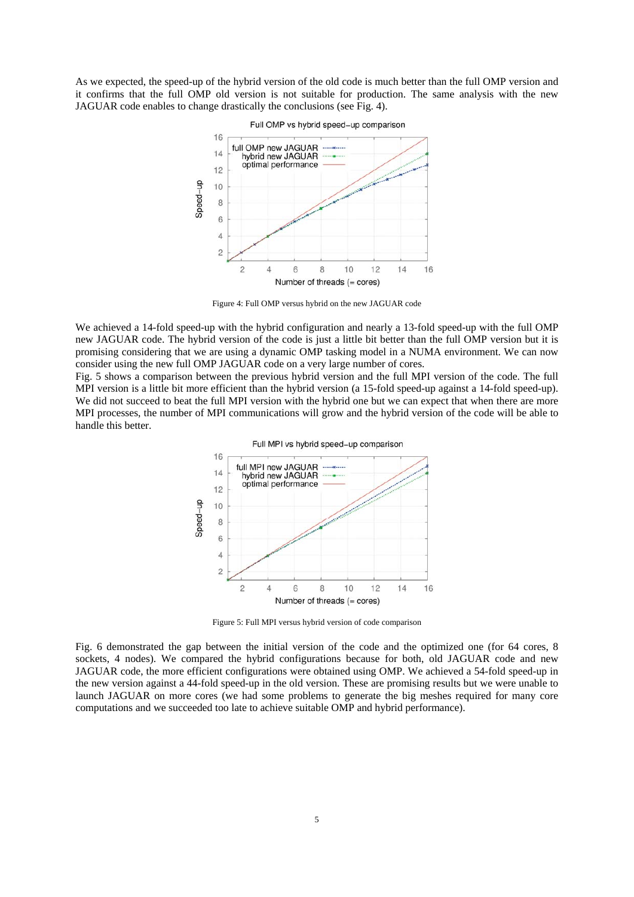As we expected, the speed-up of the hybrid version of the old code is much better than the full OMP version and it confirms that the full OMP old version is not suitable for production. The same analysis with the new JAGUAR code enables to change drastically the conclusions (see Fig. 4).



Figure 4: Full OMP versus hybrid on the new JAGUAR code

We achieved a 14-fold speed-up with the hybrid configuration and nearly a 13-fold speed-up with the full OMP new JAGUAR code. The hybrid version of the code is just a little bit better than the full OMP version but it is promising considering that we are using a dynamic OMP tasking model in a NUMA environment. We can now consider using the new full OMP JAGUAR code on a very large number of cores.

Fig. 5 shows a comparison between the previous hybrid version and the full MPI version of the code. The full MPI version is a little bit more efficient than the hybrid version (a 15-fold speed-up against a 14-fold speed-up). We did not succeed to beat the full MPI version with the hybrid one but we can expect that when there are more MPI processes, the number of MPI communications will grow and the hybrid version of the code will be able to handle this better.



Figure 5: Full MPI versus hybrid version of code comparison

Fig. 6 demonstrated the gap between the initial version of the code and the optimized one (for 64 cores, 8 sockets, 4 nodes). We compared the hybrid configurations because for both, old JAGUAR code and new JAGUAR code, the more efficient configurations were obtained using OMP. We achieved a 54-fold speed-up in the new version against a 44-fold speed-up in the old version. These are promising results but we were unable to launch JAGUAR on more cores (we had some problems to generate the big meshes required for many core computations and we succeeded too late to achieve suitable OMP and hybrid performance).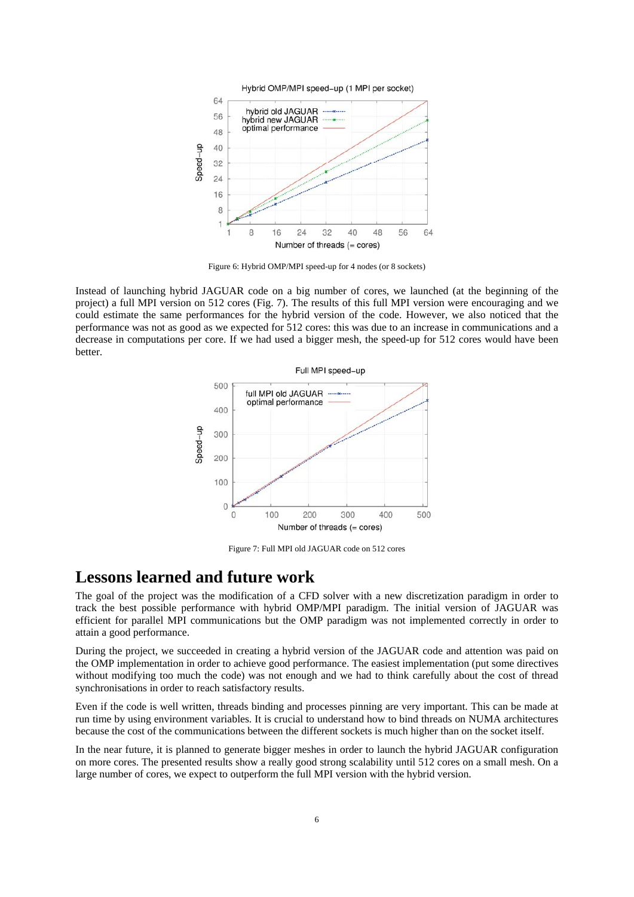

Figure 6: Hybrid OMP/MPI speed-up for 4 nodes (or 8 sockets)

Instead of launching hybrid JAGUAR code on a big number of cores, we launched (at the beginning of the project) a full MPI version on 512 cores (Fig. 7). The results of this full MPI version were encouraging and we could estimate the same performances for the hybrid version of the code. However, we also noticed that the performance was not as good as we expected for 512 cores: this was due to an increase in communications and a decrease in computations per core. If we had used a bigger mesh, the speed-up for 512 cores would have been better.



Figure 7: Full MPI old JAGUAR code on 512 cores

### **Lessons learned and future work**

The goal of the project was the modification of a CFD solver with a new discretization paradigm in order to track the best possible performance with hybrid OMP/MPI paradigm. The initial version of JAGUAR was efficient for parallel MPI communications but the OMP paradigm was not implemented correctly in order to attain a good performance.

During the project, we succeeded in creating a hybrid version of the JAGUAR code and attention was paid on the OMP implementation in order to achieve good performance. The easiest implementation (put some directives without modifying too much the code) was not enough and we had to think carefully about the cost of thread synchronisations in order to reach satisfactory results.

Even if the code is well written, threads binding and processes pinning are very important. This can be made at run time by using environment variables. It is crucial to understand how to bind threads on NUMA architectures because the cost of the communications between the different sockets is much higher than on the socket itself.

In the near future, it is planned to generate bigger meshes in order to launch the hybrid JAGUAR configuration on more cores. The presented results show a really good strong scalability until 512 cores on a small mesh. On a large number of cores, we expect to outperform the full MPI version with the hybrid version.